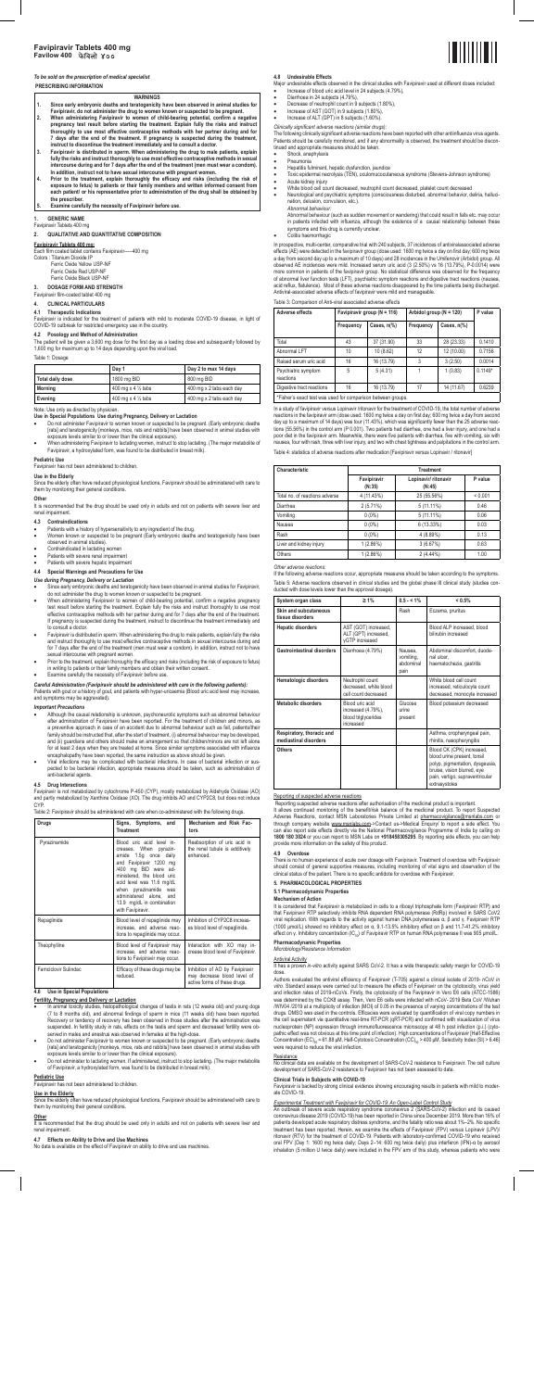

# **PRESCRIBING INFORMATION**

- **WARNINGS 1. Since early embryonic deaths and teratogenicity have been observed in animal studies for**
- **Favipiravir, do not administer the drug to women known or suspected to be pregnant.**
- **2. When administering Favipiravir to women of child-bearing potential, confirm a negative pregnancy test result before starting the treatment. Explain fully the risks and instruct thoroughly to use most effective contraceptive methods with her partner during and for**  7 days after the end of the treatment. If pregnancy is suspected during the treatment,<br>instruct to discontinue the treatment immediately and to consult a doctor.<br>3. Favipiravir is distributed in sperm. When administering t
- fully the risks and instruct thoroughly to use most effective contraceptive methods in sexual<br>intercourse during and for 7 days after the end of the treatment (men must wear a condom).<br>In addition, instruct not to have sex
- 4. Prior to the treatment, explain thoroughly the efficacy and risks (including the risk of<br>exposure to fetus) to patients or their family members and written informed consent from<br>each patient/ or his representative prior **the prescriber.**
- **5. Examine carefully the necessity of Favipiravir before use.**

- Ferric Oxide Red USP-NF
- Ferric Oxide Black USP-NF

- **Use in Special Populations Use during Pregnancy, Delivery or Lactation**  Do not administer Favipiravir to women known or suspected to be pregnant. (Early embryonic deaths [rats] and teratogenicity [monkeys, mice, rats and rabbits] have been observed in animal studies with
- exposure levels similar to or lower than the clinical exposure).<br>• When administering Favipiravir to lactating women, instruct to stop lactating. (The major metabolite of<br>• Favipiravir, a hydroxylated form, was found to be

### **1. GENERIC NAME**

Favipiravir Tablets 400 mg

# **2. QUALITATIVE AND QUANTITATIVE COMPOSITION**

### **Favipiravir Tablets 400 mg:**

Each film coated tablet contains Favipiravir-----400 mg Colors : Titanium Dioxide IP

Since the elderly often have reduced physiological functions, Favipiravir should be administered with care to them by monitoring their general conditions.

Ferric Oxide Yellow USP-NF

It is recommended that the drug should be used only in adults and not on patients with severe liver and renal impairment.

**3. DOSAGE FORM AND STRENGTH** 

# Favipiravir film-coated tablet 400 mg

**4. CLINICAL PARTICULARS** 

**4.1 Therapeutic Indications**<br>Favipiravir is indicated for the treatment of patients with mild to moderate COVID-19 disease, in light of<br>COVID-19 outbreak for restricted emergency use in the country.

## **4.2 Posology and Method of Administration**

The patient will be given a 3,600 mg dose for the first day as a loading dose and subsequently followed by 1,600 mg for maximum up to 14 days depending upon the viral load.

#### Table 1: Dosage

|                  | Day 1                         | Day 2 to max 14 days     |
|------------------|-------------------------------|--------------------------|
| Total daily dose | 1800 mg BID                   | 800 mg BID               |
| <b>Morning</b>   | 400 mg x 4 $\frac{1}{2}$ tabs | 400 mg x 2 tabs each day |
| Evening          | 400 mg x 4 $\frac{1}{2}$ tabs | 400 mg x 2 tabs each day |

Note: Use only as directed by physician.

- 
- Since early embryonic deaths and teratogenicity have been observed in animal studies for Favipiravir,<br>do not administer the drug to women known or suspected to be pregnant.<br>• When administering Favipiravir to women of ch If pregnancy is suspected during the treatment, instruct to discontinue the treatment immediately and to consult a doctor.
- Favipiravir is distributed in sperm. When administering the drug to male patients, explain fully the risks and instruct thoroughly to use most effective contraceptive methods in sexual intercourse during and for 7 days after the end of the treatment (men must wear a condom). In addition, instruct not to have
- sexual intercourse with pregnant women. Prior to the treatment, explain thoroughly the efficacy and risks (including the risk of exposure to fetus) in writing to patients or their family members and obtain their written consent. • Examine carefully the necessity of Favipiravir before use.
- 

#### **Pediatric Use**

Favipiravir has not been administered to children.

### **Use in the Elderly**

- Although the causal relationship is unknown, psychoneurotic symptoms such as abnormal behaviour<br>after administration of Favipiravir have been reported. For the treatment of children and minors, as<br>a preventive approach in family should be instructed that, after the start of treatment, (i) abnormal behaviour may be developed,<br>and (ii) guardians and others should make an arrangement so that children/minors are not left alone<br>for at least 2 da
- encephalopathy have been reported, the same instruction as above should be given.<br>Viral infections may be complicated with bacterial infections. In case of bacterial infection or sus-<br>pected to be bacterial infection, appr anti-bacterial agents.

Favipiravir is not metabolized by cytochrome P-450 (CYP), mostly metabolized by Aldehyde Oxidase (AO) and partly metabolized by Xanthine Oxidase (XO). The drug inhibits AO and CYP2C8, but does not induce **CYP** 

....<br>ble 2: Favipiravir should be administered with care when co-administered with the follo

# **Other**

# **4.3 Contraindications**

- 
- Patients with a history of hypersensitivity to any ingredient of the drug. Women known or suspected to be pregnant (Early embryonic deaths and teratogenicity have been observed in animal studies).
- 
- Contraindicated in lactating women Patients with severe renal impairment Patients with severe hepatic impairment

# **4.4 Special Warnings and Precautions for Use**

- **Fertility, Pregnancy and Delivery or Lactation** In animal toxicity studies, histopathological changes of testis in rats (12 weeks old) and young dogs (7 to 8 months old), and abnormal findings of sperm in mice (11 weeks old) have been reported. Recovery or tendency of recovery has been observed in those studies after the administration was suspended. In fertility study in rats, effects on the testis and sperm and decreased fertility were ob-
- served in males and anestrus was observed in females at the high-dose.<br>● D not administer Favipiravir to women known or suspected to be pregnant. (Early embryonic deaths<br>frats] and teratogenicity [monkeys, mice, rats and
- exposure levels similar to or lower than the clinical exposure).<br>• Do not administer to lactating women. If administered, instruct to stop lactating. (The major metabolite<br>of Favipiravir, a hydroxylated form, was found to

### *Use during Pregnancy, Delivery or Lactation*

It is recommended that the drug should be used only in adults and not on patients with severe liver and renal impairment.

- Major undesirable effects observed in the clinical studies with Favipiravir used at different doses included: Increase of blood uric acid level in 24 subjects (4.79%),
- Diarrhoea in 24 subjects (4.79%),
- Decrease of neutrophil count in 9 subjects (1.80%), Increase of AST (GOT) in 9 subjects (1.80%),
- Increase of ALT (GPT) in 8 subjects (1.60%).
- 

*Clinically significant adverse reactions (similar drugs):*  The following clinically significant adverse reactions have been reported with other antiinfluenza virus agents. Patients should be carefully monitored, and if any abnormality is observed, the treatment should be discontinued and appropriate measures should be taken.

• Shock, anaphylaxis<br>• Pneumonia

# *Careful Administration (Favipiravir should be administered with care in the following patients):*

Patients with gout or a history of gout, and patients with hyper-uricaemia (Blood uric acid level may increase, and symptoms may be aggravated).

# *Important Precautions*

In a study of favipiravir versus Lopinavir /ritonavir for the treatment of COVID-19, the total number of adverse reactions in the favipiravir arm (dose used: 1600 mg twice a day on first day; 600 mg twice a day from second day up to a maximum of 14 days) was tour (11.43%), which was significantly fewer than the 25 adverse reac-<br>tions (55.56%) in the control arm (P 0.001). Two patients had diarrhea, one had a liver injury, and one had a<br>poor nausea, four with rash, three with liver injury, and two with chest tightness and palpitations in the control arm. Table 4: statistics of adverse reactions after medication [Favipiravir versus Lopinavir / ritonavir]

# **4.5 Drug Interactions**

If the following adverse reactions occur, appropriate measures should be taken according to the symptoms Table 5: Adverse reactions observed in clinical studies and the global phase III clinical study (studies con-

| Drugs                | Signs, Symptoms, and<br><b>Treatment</b>                                                                                                                                                                                                                                                         | Mechanism and Risk Fac-<br>tors<br>Reabsorption of uric acid in<br>the renal tubule is additively<br>enhanced. |  |
|----------------------|--------------------------------------------------------------------------------------------------------------------------------------------------------------------------------------------------------------------------------------------------------------------------------------------------|----------------------------------------------------------------------------------------------------------------|--|
| Pyrazinamide         | Blood uric acid level in-<br>creases. When pyrazin-<br>amide 1.5q once daily<br>and Favipiravir 1200 mg<br>/400 mg BID were ad-<br>ministered, the blood uric<br>acid level was 11.6 mg/dL<br>when pyrazinamide was<br>administered alone, and<br>13.9 mg/dL in combination<br>with Favipiravir. |                                                                                                                |  |
| Repaglinide          | Blood level of repaglinide may<br>increase, and adverse reac-<br>tions to repaglinide may occur.                                                                                                                                                                                                 | Inhibition of CYP2C8 increas-<br>es blood level of repaglinide.                                                |  |
| Theophylline         | Blood level of Favipiravir may<br>increase, and adverse reac-<br>tions to Favipiravir may occur.                                                                                                                                                                                                 | Interaction with XO may in-<br>crease blood level of Favipiravir.                                              |  |
| Famciclovir Sulindac | Efficacy of these drugs may be<br>reduced.                                                                                                                                                                                                                                                       | Inhibition of AO by Favipiravir<br>may decrease blood level of<br>active forms of these drugs.                 |  |

Reporting of suspected adverse reactions Reporting suspected adverse reactions after authorisation of the medicinal product is important. It allows continued monitoring of the benefit/risk balance of the medicinal product. To report Suspected<br>Adverse Reactions, contact MSN Laboratories Private Limited at <u>pharmacovigilance@msnlabs.com</u> or<br>through company we can also report side effects directly via the National Pharmacovigilance Programme of India by calling on<br>1800 180 3024 or you can report to MSN Labs on **+918458305295**. By reporting side effects, you can help<br>provide more

# **4.6 Use in Special Populations**

There is no human experience of acute over dosage with Favipiravir. Treatment of overdose with Favipiravir should consist of general supportive measures, including monitoring of vital



It is considered that Favipiravir is metabolized in cells to a ribosyl triphosphate form (Favipiravir RTP) and that Favipiravir RTP selectively inhibits RNA dependent RNA polymerase (RdRp) involved in SARS CoV2 viral replication. With regards to the activity against human DNA polymerases α, β and γ, Favipiravir RTP<br>(1000 μmol/L) showed no inhibitory effect on α, 9.1-13.5% inhibitory effect on β and 11.7-41.2% inhibitory<br>effect o

# **Pediatric Use**

Favipiravir has not been administered to children.

## **Use in the Elderly**

Since the elderly often have reduced physiological functions, Favipiravir should be administered with care to them by monitoring their general conditions.

## **Other**

# **4.7 Effects on Ability to Drive and Use Machines**

No data is available on the effect of Favipiravir on ability to drive and use machines.

# **4.8 Undesirable Effects**

- Pneumonia
- Hepatitis fulminant, hepatic dysfunction, jaundice Toxic epidermal necrolysis (TEN), oculomucocutaneous syndrome (Stevens-Johnson syndrome)
	-
- 
- Acute kidney injury White blood cell count decreased, neutrophil count decreased, platelet count decreased Neurological and psychiatric symptoms (consciousness disturbed, abnormal behavior, deliria, hallucination, delusion, convulsion, etc.).
- *Abnormal behaviour:* Abnormal behaviour (such as sudden movement or wandering) that could result in falls etc. may occur in patients infected with influenza, although the existence of a causal relationship between these symptoms and this drug is currently unclear. • Colitis haemorrhagic

In prospective, multi-center, comparative trial with 240 subjects, 37 incidences of antiviralassociated adverse<br>effects (AE) were detected in the favipiravir group (dose used: 1600 mg twice a day on first day; 600 mg twice observed AE incidences were mild. Increased serum uric acid (3 (2.50%) vs 16 (13.79%), P-0.0014) were<br>more common in patients of the favigiravir group. No statistical difference was observed for the frequency<br>of abnormal l

Table 3: Comparison of Anti-viral associated adverse effects

| Adverse effects                                             | Favipiravir group ( $N = 116$ ) |            | Arbidol group ( $N = 120$ ) | P value               |           |  |  |
|-------------------------------------------------------------|---------------------------------|------------|-----------------------------|-----------------------|-----------|--|--|
|                                                             | Cases, n(%)<br>Frequency        |            | Frequency                   | Cases, $n\frac{9}{6}$ |           |  |  |
| Total                                                       | 43                              | 37 (31.90) | 33                          | 28 (23.33)            | 0.1410    |  |  |
| Abnormal LFT                                                | 10                              | 10 (8.62)  | 12                          | 12 (10.00)            | 0.7156    |  |  |
| Raised serum uric acid                                      | 16                              | 16 (13.79) | 3                           | 3(2.50)               | 0.0014    |  |  |
| Psychiatric symptom<br>reactions                            | 5                               | 5(4.31)    |                             | 1(0.83)               | $0.1149*$ |  |  |
| Digestive tract reactions                                   | 16                              | 16 (13.79) | 17                          | 14 (11.67)            | 0.6239    |  |  |
| *Fisher's exact test was used for comparison between groups |                                 |            |                             |                       |           |  |  |

\*Fisher's exact test was used for comparison between groups.

| Characteristic                 | <b>Treatment</b>      |                                |         |  |  |  |
|--------------------------------|-----------------------|--------------------------------|---------|--|--|--|
|                                | Favipiravir<br>(N:35) | Lopinavir/ ritonavir<br>(N:45) | P value |  |  |  |
| Total no, of reactions adverse | 4 (11.43%)            | 25 (55.56%)                    | < 0.001 |  |  |  |
| Diarrhea                       | 2(5.71%)              | $5(11.11\%)$                   | 0.46    |  |  |  |
| Vomiting                       | $0(0\%)$              | $5(11.11\%)$                   | 0.06    |  |  |  |
| Nausea                         | $0(0\%)$              | 6(13.33%)                      | 0.03    |  |  |  |
| Rash                           | $0(0\%)$              | 4 (8.89%)                      | 0.13    |  |  |  |
| Liver and kidney injury        | 1(2.86%)              | 3(6.67%)                       | 0.63    |  |  |  |
| Others                         | 1(2.86%)              | $2(4.44\%)$                    | 1.00    |  |  |  |

#### *Other adverse reactions:*

ducted with dose levels lower than the approval dosage).

| System organ class                                 | $\geq 1\%$                                                                | $0.5 - 1\%$                               | < 0.5%                                                                                                                                                                         |
|----------------------------------------------------|---------------------------------------------------------------------------|-------------------------------------------|--------------------------------------------------------------------------------------------------------------------------------------------------------------------------------|
| Skin and subcutaneous<br>tissue disorders          |                                                                           | Rash                                      | Eczema, pruritus                                                                                                                                                               |
| <b>Hepatic disorders</b>                           | AST (GOT) increased,<br>ALT (GPT) increased,<br>vGTP increased            |                                           | Blood ALP increased, blood<br>bilirubin increased                                                                                                                              |
| <b>Gastrointestinal disorders</b>                  | Diarrhoea (4.79%)                                                         | Nausea.<br>vomiting,<br>abdominal<br>pain | Abdominal discomfort, duode-<br>nal ulcer.<br>haematochezia, gastritis                                                                                                         |
| Hematologic disorders                              | Neutrophil count<br>decreased, white blood<br>cell count decreased        |                                           | White blood cell count<br>increased, reticulocyte count<br>decreased, monocyte increased                                                                                       |
| Metabolic disorders                                | Blood uric acid<br>increased (4.79%),<br>blood triglycerides<br>increased | Glucose<br>urine<br>present               | Blood potassium decreased                                                                                                                                                      |
| Respiratory, thoracic and<br>mediastinal disorders |                                                                           |                                           | Asthma, oropharyngeal pain,<br>rhinitis, nasopharyngitis                                                                                                                       |
| Others                                             |                                                                           |                                           | Blood CK (CPK) increased,<br>blood urine present, tonsil<br>polyp, pigmentation, dysgeusia,<br>bruise, vision blurred, eye<br>pain, vertigo, supraventricular<br>extrasystoles |

# **4.9 Overdose**

clinical status of the patient. There is no specific antidote for overdose with Favipiravir.

### **5. PHARMACOLOGICAL PROPERTIES**

#### **5.1 Pharmacodynamic Properties**

#### **Mechanism of Action**

### **Pharmacodynamic Properties**

*Microbiology/Resistance Information* 

#### **Antiviral Activity**

It has a proven *in-vitro* activity against SARS CoV-2. It has a wide therapeutic safety margin for COVID-19 dose.

Authors evaluated the antiviral efficiency of Favipiravir (T-705) against a clinical isolate of 2019- nCoV *in vitro*. Standard assays were carried out to measure the effects of Favipiravir on the cytotoxicity, virus yield and infection rates of 2019-nCoVs. Firstly, the cytotoxicity of the Favipiravir in Vero E6 cells (ATCC-1586)<br>was determined by the CCK8 assay. Then, Vero E6 cells were infected with nCoV- 2019 Beta CoV /Wuhan<br>/WIV04 /2019 drugs. DMSO was used in the controls. Efficacies were evaluated by quantification of viral copy numbers in the cell supernatant via quantitative real-time RT-PCR (qRT-PCR) and confirmed with visualization of virus nucleoprotein (NP) expression through immunofluorescence microscopy at 48 h post infection (p.i.) (cytopathic effect was not obvious at this time point of infection). High concentrations of Favipiravir [Half-Effective<br>Concentration (EC)<sub>so</sub> = 61.88 μM, Half-Cytotoxic Concentration (CC)<sub>so</sub> > 400 μM, Selectivity Index (SI) were required to reduce the viral infection.

#### Resistance

No clinical data are available on the development of SARS-CoV-2 resistance to Favipiravir. The cell culture development of SARS-CoV-2 resistance to Favipiravir has not been assessed to date.

**Clinical Trials in Subjects with COVID-19**<br>Favipiravir is backed by strong clinical evidence showing encouraging results in patients with mild to moder-<br>ate COVID-19.

# *Experimental Treatment with Favipiravir for COVID-19: An Open-Label Control Study*

An outbreak of severe acute respiratory syndrome coronavirus 2 (SARS-CoV-2) infection and its caused coronavirus disease 2019 (COVID-19) has been reported in China since December 2019. More than 16% of patients developed acute respiratory distress syndrome, and the fatality ratio was about 1%–2%. No specific treatment has been reported. Herein, we examine the effects of Favipiravir (FPV) versus Lopinavir (LPV)/<br>ritonavir (RTV) for the treatment of COVID-19. Patients with laboratory-confirmed COVID-19 who received<br>oral FPV (Day inhalation (5 million U twice daily) were included in the FPV arm of this study, whereas patients who were

# **Favipiravir Tablets 400 mg Favilow 400**